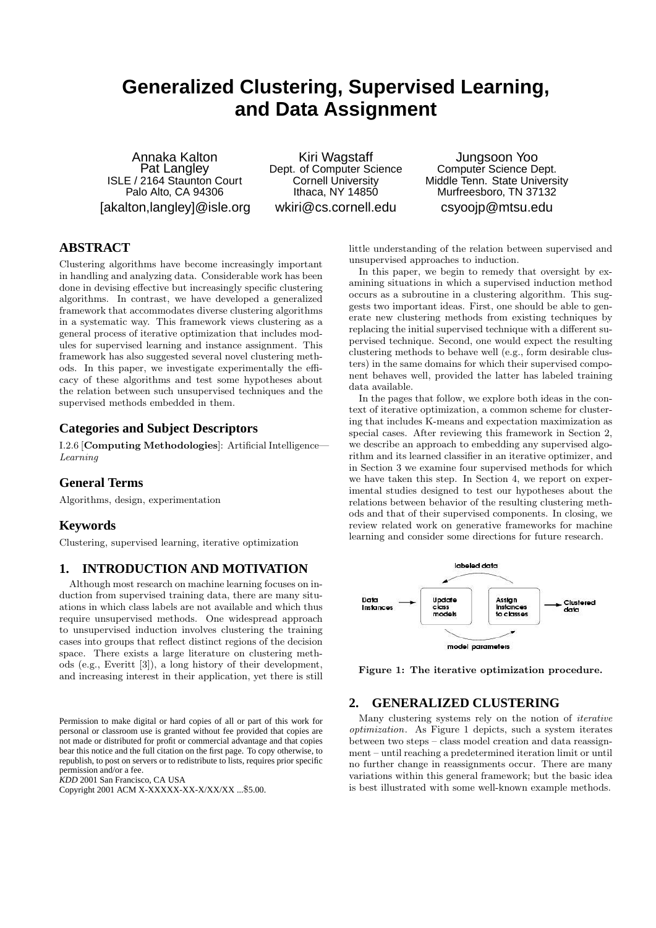# **Generalized Clustering, Supervised Learning, and Data Assignment**

Annaka Kalton Pat Langley ISLE / 2164 Staunton Court Palo Alto, CA 94306 [akalton,langley]@isle.org

Kiri Wagstaff Dept. of Computer Science Cornell University Ithaca, NY 14850 wkiri@cs.cornell.edu

Jungsoon Yoo Computer Science Dept. Middle Tenn. State University Murfreesboro, TN 37132 csyoojp@mtsu.edu

## **ABSTRACT**

Clustering algorithms have become increasingly important in handling and analyzing data. Considerable work has been done in devising effective but increasingly specific clustering algorithms. In contrast, we have developed a generalized framework that accommodates diverse clustering algorithms in a systematic way. This framework views clustering as a general process of iterative optimization that includes modules for supervised learning and instance assignment. This framework has also suggested several novel clustering methods. In this paper, we investigate experimentally the efficacy of these algorithms and test some hypotheses about the relation between such unsupervised techniques and the supervised methods embedded in them.

#### **Categories and Subject Descriptors**

I.2.6 [Computing Methodologies]: Artificial Intelligence— Learning

#### **General Terms**

Algorithms, design, experimentation

#### **Keywords**

Clustering, supervised learning, iterative optimization

#### **1. INTRODUCTION AND MOTIVATION**

Although most research on machine learning focuses on induction from supervised training data, there are many situations in which class labels are not available and which thus require unsupervised methods. One widespread approach to unsupervised induction involves clustering the training cases into groups that reflect distinct regions of the decision space. There exists a large literature on clustering methods (e.g., Everitt [3]), a long history of their development, and increasing interest in their application, yet there is still

Permission to make digital or hard copies of all or part of this work for personal or classroom use is granted without fee provided that copies are not made or distributed for profit or commercial advantage and that copies bear this notice and the full citation on the first page. To copy otherwise, to republish, to post on servers or to redistribute to lists, requires prior specific permission and/or a fee.

*KDD* 2001 San Francisco, CA USA

Copyright 2001 ACM X-XXXXX-XX-X/XX/XX ...\$5.00.

little understanding of the relation between supervised and unsupervised approaches to induction.

In this paper, we begin to remedy that oversight by examining situations in which a supervised induction method occurs as a subroutine in a clustering algorithm. This suggests two important ideas. First, one should be able to generate new clustering methods from existing techniques by replacing the initial supervised technique with a different supervised technique. Second, one would expect the resulting clustering methods to behave well (e.g., form desirable clusters) in the same domains for which their supervised component behaves well, provided the latter has labeled training data available.

In the pages that follow, we explore both ideas in the context of iterative optimization, a common scheme for clustering that includes K-means and expectation maximization as special cases. After reviewing this framework in Section 2, we describe an approach to embedding any supervised algorithm and its learned classifier in an iterative optimizer, and in Section 3 we examine four supervised methods for which we have taken this step. In Section 4, we report on experimental studies designed to test our hypotheses about the relations between behavior of the resulting clustering methods and that of their supervised components. In closing, we review related work on generative frameworks for machine learning and consider some directions for future research.



Figure 1: The iterative optimization procedure.

#### **2. GENERALIZED CLUSTERING**

Many clustering systems rely on the notion of iterative optimization. As Figure 1 depicts, such a system iterates between two steps – class model creation and data reassignment – until reaching a predetermined iteration limit or until no further change in reassignments occur. There are many variations within this general framework; but the basic idea is best illustrated with some well-known example methods.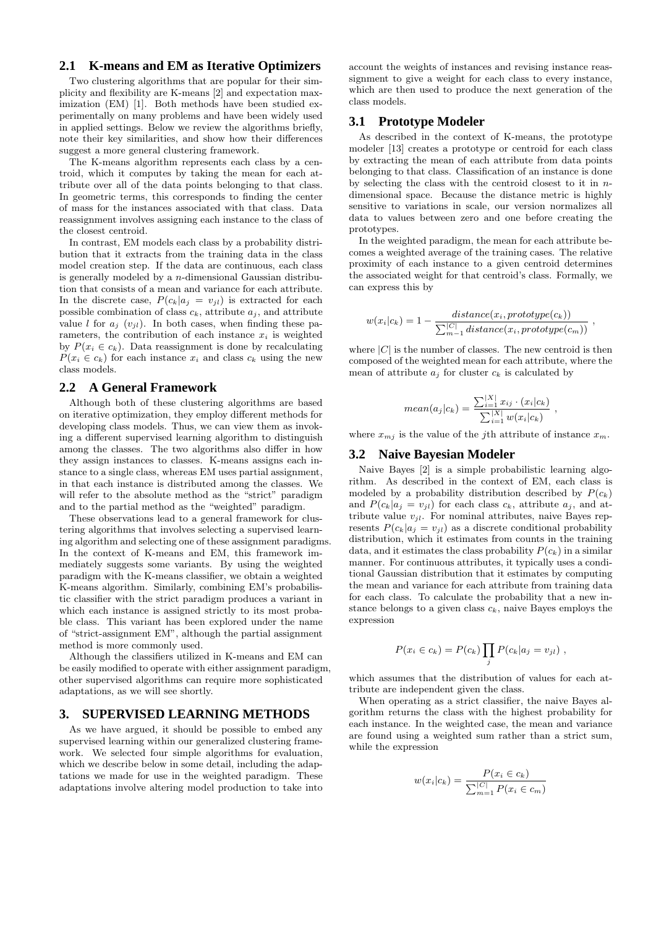#### **2.1 K-means and EM as Iterative Optimizers**

Two clustering algorithms that are popular for their simplicity and flexibility are K-means [2] and expectation maximization (EM) [1]. Both methods have been studied experimentally on many problems and have been widely used in applied settings. Below we review the algorithms briefly, note their key similarities, and show how their differences suggest a more general clustering framework.

The K-means algorithm represents each class by a centroid, which it computes by taking the mean for each attribute over all of the data points belonging to that class. In geometric terms, this corresponds to finding the center of mass for the instances associated with that class. Data reassignment involves assigning each instance to the class of the closest centroid.

In contrast, EM models each class by a probability distribution that it extracts from the training data in the class model creation step. If the data are continuous, each class is generally modeled by a n-dimensional Gaussian distribution that consists of a mean and variance for each attribute. In the discrete case,  $P(c_k|a_j = v_{jl})$  is extracted for each possible combination of class  $c_k$ , attribute  $a_i$ , and attribute value l for  $a_i$  ( $v_{il}$ ). In both cases, when finding these parameters, the contribution of each instance  $x_i$  is weighted by  $P(x_i \in c_k)$ . Data reassignment is done by recalculating  $P(x_i \in c_k)$  for each instance  $x_i$  and class  $c_k$  using the new class models.

#### **2.2 A General Framework**

Although both of these clustering algorithms are based on iterative optimization, they employ different methods for developing class models. Thus, we can view them as invoking a different supervised learning algorithm to distinguish among the classes. The two algorithms also differ in how they assign instances to classes. K-means assigns each instance to a single class, whereas EM uses partial assignment, in that each instance is distributed among the classes. We will refer to the absolute method as the "strict" paradigm and to the partial method as the "weighted" paradigm.

These observations lead to a general framework for clustering algorithms that involves selecting a supervised learning algorithm and selecting one of these assignment paradigms. In the context of K-means and EM, this framework immediately suggests some variants. By using the weighted paradigm with the K-means classifier, we obtain a weighted K-means algorithm. Similarly, combining EM's probabilistic classifier with the strict paradigm produces a variant in which each instance is assigned strictly to its most probable class. This variant has been explored under the name of "strict-assignment EM", although the partial assignment method is more commonly used.

Although the classifiers utilized in K-means and EM can be easily modified to operate with either assignment paradigm, other supervised algorithms can require more sophisticated adaptations, as we will see shortly.

## **3. SUPERVISED LEARNING METHODS**

As we have argued, it should be possible to embed any supervised learning within our generalized clustering framework. We selected four simple algorithms for evaluation, which we describe below in some detail, including the adaptations we made for use in the weighted paradigm. These adaptations involve altering model production to take into

account the weights of instances and revising instance reassignment to give a weight for each class to every instance, which are then used to produce the next generation of the class models.

#### **3.1 Prototype Modeler**

As described in the context of K-means, the prototype modeler [13] creates a prototype or centroid for each class by extracting the mean of each attribute from data points belonging to that class. Classification of an instance is done by selecting the class with the centroid closest to it in  $n$ dimensional space. Because the distance metric is highly sensitive to variations in scale, our version normalizes all data to values between zero and one before creating the prototypes.

In the weighted paradigm, the mean for each attribute becomes a weighted average of the training cases. The relative proximity of each instance to a given centroid determines the associated weight for that centroid's class. Formally, we can express this by

$$
w(x_i|c_k) = 1 - \frac{distance(x_i, prototype(c_k))}{\sum_{m=1}^{|C|}distance(x_i, prototype(c_m))}
$$

,

where  $|C|$  is the number of classes. The new centroid is then composed of the weighted mean for each attribute, where the mean of attribute  $a_i$  for cluster  $c_k$  is calculated by

mean
$$
(a_j|c_k)
$$
 = 
$$
\frac{\sum_{i=1}^{|X|} x_{ij} \cdot (x_i|c_k)}{\sum_{i=1}^{|X|} w(x_i|c_k)},
$$

where  $x_{mj}$  is the value of the jth attribute of instance  $x_m$ .

#### **3.2 Naive Bayesian Modeler**

Naive Bayes [2] is a simple probabilistic learning algorithm. As described in the context of EM, each class is modeled by a probability distribution described by  $P(c_k)$ and  $P(c_k|a_j = v_{jl})$  for each class  $c_k$ , attribute  $a_j$ , and attribute value  $v_{jl}$ . For nominal attributes, naive Bayes represents  $P(c_k|a_j = v_{jl})$  as a discrete conditional probability distribution, which it estimates from counts in the training data, and it estimates the class probability  $P(c_k)$  in a similar manner. For continuous attributes, it typically uses a conditional Gaussian distribution that it estimates by computing the mean and variance for each attribute from training data for each class. To calculate the probability that a new instance belongs to a given class  $c_k$ , naive Bayes employs the expression

$$
P(x_i \in c_k) = P(c_k) \prod_j P(c_k | a_j = v_{jl}),
$$

which assumes that the distribution of values for each attribute are independent given the class.

When operating as a strict classifier, the naive Bayes algorithm returns the class with the highest probability for each instance. In the weighted case, the mean and variance are found using a weighted sum rather than a strict sum, while the expression

$$
w(x_i|c_k) = \frac{P(x_i \in c_k)}{\sum_{m=1}^{|C|} P(x_i \in c_m)}
$$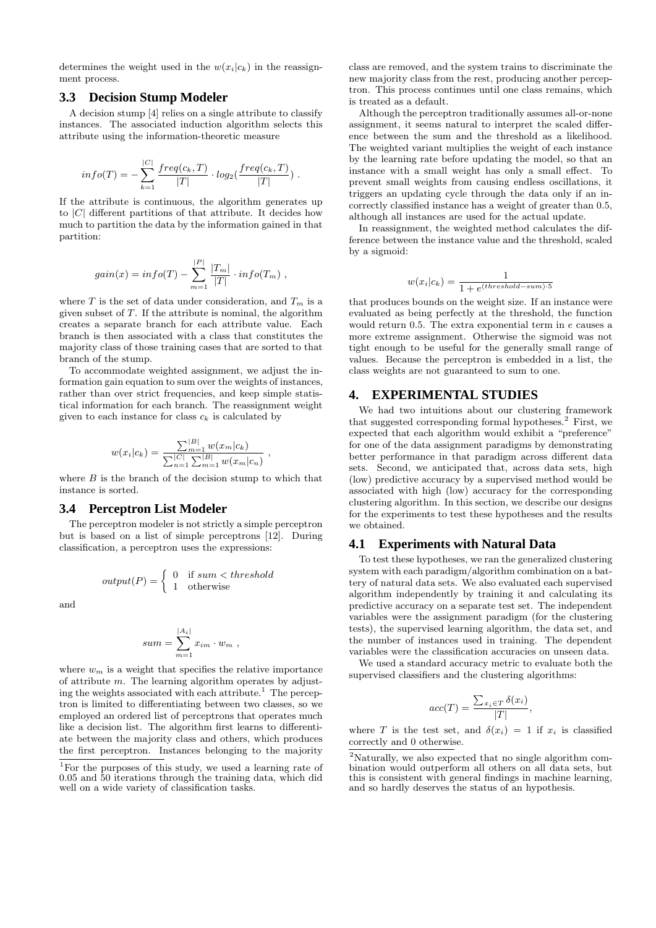determines the weight used in the  $w(x_i|c_k)$  in the reassignment process.

#### **3.3 Decision Stump Modeler**

A decision stump [4] relies on a single attribute to classify instances. The associated induction algorithm selects this attribute using the information-theoretic measure

$$
info(T) = -\sum_{k=1}^{|C|} \frac{freq(c_k, T)}{|T|} \cdot log_2(\frac{freq(c_k, T)}{|T|})
$$
.

If the attribute is continuous, the algorithm generates up to  $|C|$  different partitions of that attribute. It decides how much to partition the data by the information gained in that partition:

$$
gain(x) = info(T) - \sum_{m=1}^{|P|} \frac{|T_m|}{|T|} \cdot info(T_m)
$$
,

where T is the set of data under consideration, and  $T_m$  is a given subset of  $T$ . If the attribute is nominal, the algorithm creates a separate branch for each attribute value. Each branch is then associated with a class that constitutes the majority class of those training cases that are sorted to that branch of the stump.

To accommodate weighted assignment, we adjust the information gain equation to sum over the weights of instances, rather than over strict frequencies, and keep simple statistical information for each branch. The reassignment weight given to each instance for class  $c_k$  is calculated by

$$
w(x_i|c_k) = \frac{\sum_{m=1}^{|B|} w(x_m|c_k)}{\sum_{n=1}^{|C|} \sum_{m=1}^{|B|} w(x_m|c_n)},
$$

where  $B$  is the branch of the decision stump to which that instance is sorted.

#### **3.4 Perceptron List Modeler**

The perceptron modeler is not strictly a simple perceptron but is based on a list of simple perceptrons [12]. During classification, a perceptron uses the expressions:

$$
output(P) = \left\{ \begin{array}{ll} 0 & \textrm{if sum} < threshold \\ 1 & \textrm{otherwise} \end{array} \right.
$$

and

$$
sum = \sum_{m=1}^{|A_i|} x_{im} \cdot w_m ,
$$

where  $w_m$  is a weight that specifies the relative importance of attribute  $m$ . The learning algorithm operates by adjusting the weights associated with each attribute.<sup>1</sup> The perceptron is limited to differentiating between two classes, so we employed an ordered list of perceptrons that operates much like a decision list. The algorithm first learns to differentiate between the majority class and others, which produces the first perceptron. Instances belonging to the majority

class are removed, and the system trains to discriminate the new majority class from the rest, producing another perceptron. This process continues until one class remains, which is treated as a default.

Although the perceptron traditionally assumes all-or-none assignment, it seems natural to interpret the scaled difference between the sum and the threshold as a likelihood. The weighted variant multiplies the weight of each instance by the learning rate before updating the model, so that an instance with a small weight has only a small effect. To prevent small weights from causing endless oscillations, it triggers an updating cycle through the data only if an incorrectly classified instance has a weight of greater than 0.5, although all instances are used for the actual update.

In reassignment, the weighted method calculates the difference between the instance value and the threshold, scaled by a sigmoid:

$$
w(x_i|c_k) = \frac{1}{1 + e^{(threshold-sum)\cdot 5}}
$$

that produces bounds on the weight size. If an instance were evaluated as being perfectly at the threshold, the function would return 0.5. The extra exponential term in e causes a more extreme assignment. Otherwise the sigmoid was not tight enough to be useful for the generally small range of values. Because the perceptron is embedded in a list, the class weights are not guaranteed to sum to one.

#### **4. EXPERIMENTAL STUDIES**

We had two intuitions about our clustering framework that suggested corresponding formal hypotheses.<sup>2</sup> First, we expected that each algorithm would exhibit a "preference" for one of the data assignment paradigms by demonstrating better performance in that paradigm across different data sets. Second, we anticipated that, across data sets, high (low) predictive accuracy by a supervised method would be associated with high (low) accuracy for the corresponding clustering algorithm. In this section, we describe our designs for the experiments to test these hypotheses and the results we obtained.

#### **4.1 Experiments with Natural Data**

To test these hypotheses, we ran the generalized clustering system with each paradigm/algorithm combination on a battery of natural data sets. We also evaluated each supervised algorithm independently by training it and calculating its predictive accuracy on a separate test set. The independent variables were the assignment paradigm (for the clustering tests), the supervised learning algorithm, the data set, and the number of instances used in training. The dependent variables were the classification accuracies on unseen data.

We used a standard accuracy metric to evaluate both the supervised classifiers and the clustering algorithms:

$$
acc(T) = \frac{\sum_{x_i \in T} \delta(x_i)}{|T|}
$$

,

where T is the test set, and  $\delta(x_i) = 1$  if  $x_i$  is classified correctly and 0 otherwise.

<sup>&</sup>lt;sup>1</sup>For the purposes of this study, we used a learning rate of 0.05 and 50 iterations through the training data, which did well on a wide variety of classification tasks.

<sup>2</sup>Naturally, we also expected that no single algorithm combination would outperform all others on all data sets, but this is consistent with general findings in machine learning, and so hardly deserves the status of an hypothesis.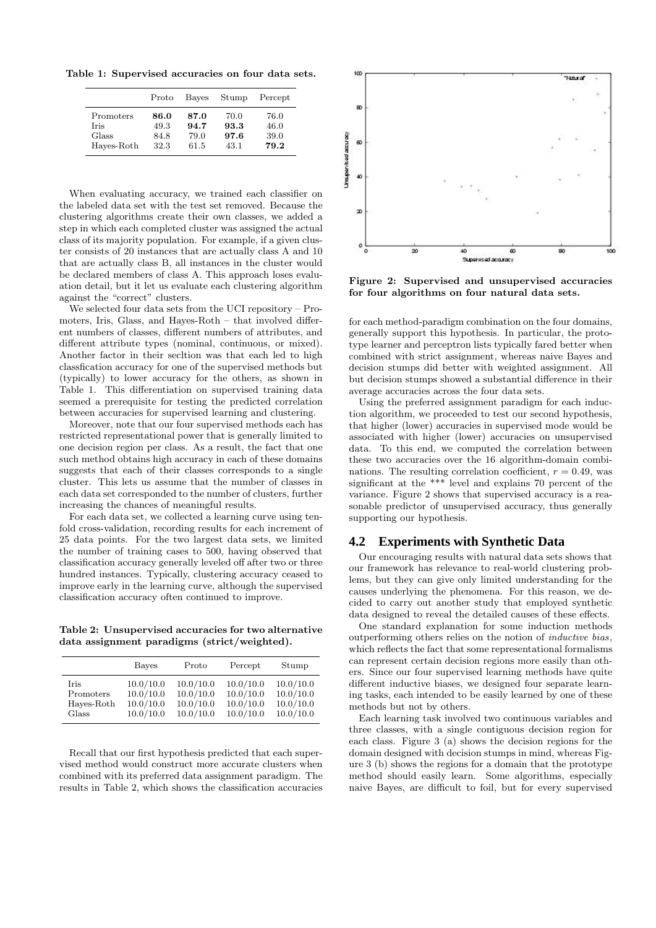Table 1: Supervised accuracies on four data sets.

|            | Proto | Bayes | Stump | Percept |
|------------|-------|-------|-------|---------|
| Promoters  | 86.0  | 87.0  | 70.0  | 76.0    |
| Iris       | 49.3  | 94.7  | 93.3  | 46.0    |
| Glass      | 84.8  | 79.0  | 97.6  | 39.0    |
| Hayes-Roth | 32.3  | 61.5  | 43.1  | 79.2    |

When evaluating accuracy, we trained each classifier on the labeled data set with the test set removed. Because the clustering algorithms create their own classes, we added a step in which each completed cluster was assigned the actual class of its majority population. For example, if a given cluster consists of 20 instances that are actually class A and 10 that are actually class B, all instances in the cluster would be declared members of class A. This approach loses evaluation detail, but it let us evaluate each clustering algorithm against the "correct" clusters.

We selected four data sets from the UCI repository – Promoters, Iris, Glass, and Hayes-Roth – that involved different numbers of classes, different numbers of attributes, and different attribute types (nominal, continuous, or mixed). Another factor in their secltion was that each led to high classfication accuracy for one of the supervised methods but (typically) to lower accuracy for the others, as shown in Table 1. This differentiation on supervised training data seemed a prerequisite for testing the predicted correlation between accuracies for supervised learning and clustering.

Moreover, note that our four supervised methods each has restricted representational power that is generally limited to one decision region per class. As a result, the fact that one such method obtains high accuracy in each of these domains suggests that each of their classes corresponds to a single cluster. This lets us assume that the number of classes in each data set corresponded to the number of clusters, further increasing the chances of meaningful results.

For each data set, we collected a learning curve using tenfold cross-validation, recording results for each increment of 25 data points. For the two largest data sets, we limited the number of training cases to 500, having observed that classification accuracy generally leveled off after two or three hundred instances. Typically, clustering accuracy ceased to improve early in the learning curve, although the supervised classification accuracy often continued to improve.

Table 2: Unsupervised accuracies for two alternative data assignment paradigms (strict/weighted).

|            | Bayes     | Proto     | Percept   | Stump     |
|------------|-----------|-----------|-----------|-----------|
| Iris       | 10.0/10.0 | 10.0/10.0 | 10.0/10.0 | 10.0/10.0 |
| Promoters  | 10.0/10.0 | 10.0/10.0 | 10.0/10.0 | 10.0/10.0 |
| Hayes-Roth | 10.0/10.0 | 10.0/10.0 | 10.0/10.0 | 10.0/10.0 |
| Glass      | 10.0/10.0 | 10.0/10.0 | 10.0/10.0 | 10.0/10.0 |

Recall that our first hypothesis predicted that each supervised method would construct more accurate clusters when combined with its preferred data assignment paradigm. The results in Table 2, which shows the classification accuracies



Figure 2: Supervised and unsupervised accuracies for four algorithms on four natural data sets.

for each method-paradigm combination on the four domains, generally support this hypothesis. In particular, the prototype learner and perceptron lists typically fared better when combined with strict assignment, whereas naive Bayes and decision stumps did better with weighted assignment. All but decision stumps showed a substantial difference in their average accuracies across the four data sets.

Using the preferred assignment paradigm for each induction algorithm, we proceeded to test our second hypothesis, that higher (lower) accuracies in supervised mode would be associated with higher (lower) accuracies on unsupervised data. To this end, we computed the correlation between these two accuracies over the 16 algorithm-domain combinations. The resulting correlation coefficient,  $r = 0.49$ , was significant at the \*\*\* level and explains 70 percent of the variance. Figure 2 shows that supervised accuracy is a reasonable predictor of unsupervised accuracy, thus generally supporting our hypothesis.

#### **4.2 Experiments with Synthetic Data**

Our encouraging results with natural data sets shows that our framework has relevance to real-world clustering problems, but they can give only limited understanding for the causes underlying the phenomena. For this reason, we decided to carry out another study that employed synthetic data designed to reveal the detailed causes of these effects.

One standard explanation for some induction methods outperforming others relies on the notion of inductive bias, which reflects the fact that some representational formalisms can represent certain decision regions more easily than others. Since our four supervised learning methods have quite different inductive biases, we designed four separate learning tasks, each intended to be easily learned by one of these methods but not by others.

Each learning task involved two continuous variables and three classes, with a single contiguous decision region for each class. Figure 3 (a) shows the decision regions for the domain designed with decision stumps in mind, whereas Figure 3 (b) shows the regions for a domain that the prototype method should easily learn. Some algorithms, especially naive Bayes, are difficult to foil, but for every supervised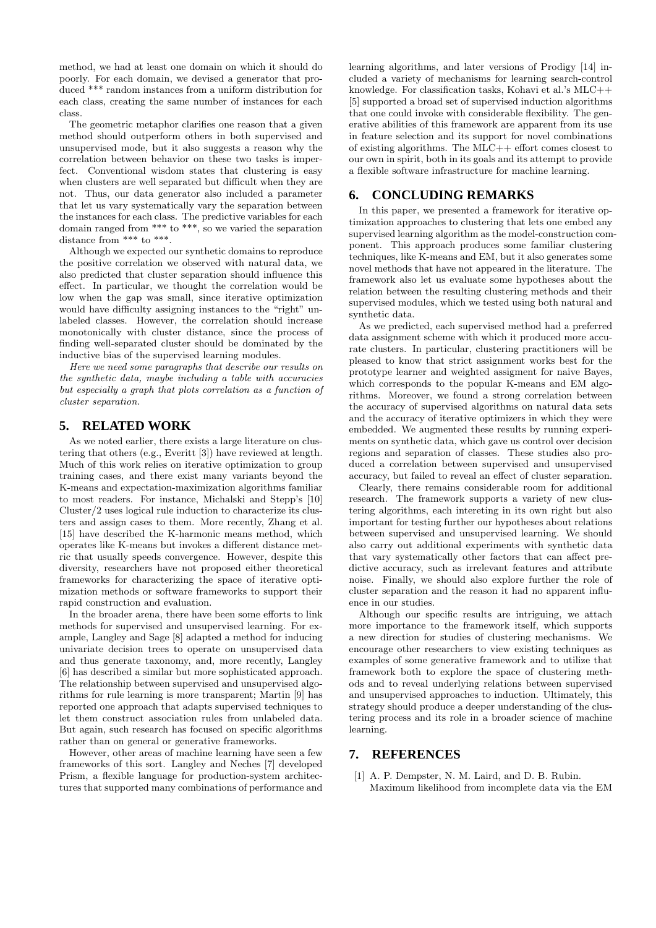method, we had at least one domain on which it should do poorly. For each domain, we devised a generator that produced \*\*\* random instances from a uniform distribution for each class, creating the same number of instances for each class.

The geometric metaphor clarifies one reason that a given method should outperform others in both supervised and unsupervised mode, but it also suggests a reason why the correlation between behavior on these two tasks is imperfect. Conventional wisdom states that clustering is easy when clusters are well separated but difficult when they are not. Thus, our data generator also included a parameter that let us vary systematically vary the separation between the instances for each class. The predictive variables for each domain ranged from \*\*\* to \*\*\*, so we varied the separation distance from \*\*\* to \*\*\*.

Although we expected our synthetic domains to reproduce the positive correlation we observed with natural data, we also predicted that cluster separation should influence this effect. In particular, we thought the correlation would be low when the gap was small, since iterative optimization would have difficulty assigning instances to the "right" unlabeled classes. However, the correlation should increase monotonically with cluster distance, since the process of finding well-separated cluster should be dominated by the inductive bias of the supervised learning modules.

Here we need some paragraphs that describe our results on the synthetic data, maybe including a table with accuracies but especially a graph that plots correlation as a function of cluster separation.

## **5. RELATED WORK**

As we noted earlier, there exists a large literature on clustering that others (e.g., Everitt [3]) have reviewed at length. Much of this work relies on iterative optimization to group training cases, and there exist many variants beyond the K-means and expectation-maximization algorithms familiar to most readers. For instance, Michalski and Stepp's [10] Cluster/2 uses logical rule induction to characterize its clusters and assign cases to them. More recently, Zhang et al. [15] have described the K-harmonic means method, which operates like K-means but invokes a different distance metric that usually speeds convergence. However, despite this diversity, researchers have not proposed either theoretical frameworks for characterizing the space of iterative optimization methods or software frameworks to support their rapid construction and evaluation.

In the broader arena, there have been some efforts to link methods for supervised and unsupervised learning. For example, Langley and Sage [8] adapted a method for inducing univariate decision trees to operate on unsupervised data and thus generate taxonomy, and, more recently, Langley [6] has described a similar but more sophisticated approach. The relationship between supervised and unsupervised algorithms for rule learning is more transparent; Martin [9] has reported one approach that adapts supervised techniques to let them construct association rules from unlabeled data. But again, such research has focused on specific algorithms rather than on general or generative frameworks.

However, other areas of machine learning have seen a few frameworks of this sort. Langley and Neches [7] developed Prism, a flexible language for production-system architectures that supported many combinations of performance and learning algorithms, and later versions of Prodigy [14] included a variety of mechanisms for learning search-control knowledge. For classification tasks, Kohavi et al.'s MLC++ [5] supported a broad set of supervised induction algorithms that one could invoke with considerable flexibility. The generative abilities of this framework are apparent from its use in feature selection and its support for novel combinations of existing algorithms. The MLC++ effort comes closest to our own in spirit, both in its goals and its attempt to provide a flexible software infrastructure for machine learning.

#### **6. CONCLUDING REMARKS**

In this paper, we presented a framework for iterative optimization approaches to clustering that lets one embed any supervised learning algorithm as the model-construction component. This approach produces some familiar clustering techniques, like K-means and EM, but it also generates some novel methods that have not appeared in the literature. The framework also let us evaluate some hypotheses about the relation between the resulting clustering methods and their supervised modules, which we tested using both natural and synthetic data.

As we predicted, each supervised method had a preferred data assignment scheme with which it produced more accurate clusters. In particular, clustering practitioners will be pleased to know that strict assignment works best for the prototype learner and weighted assigment for naive Bayes, which corresponds to the popular K-means and EM algorithms. Moreover, we found a strong correlation between the accuracy of supervised algorithms on natural data sets and the accuracy of iterative optimizers in which they were embedded. We augmented these results by running experiments on synthetic data, which gave us control over decision regions and separation of classes. These studies also produced a correlation between supervised and unsupervised accuracy, but failed to reveal an effect of cluster separation.

Clearly, there remains considerable room for additional research. The framework supports a variety of new clustering algorithms, each intereting in its own right but also important for testing further our hypotheses about relations between supervised and unsupervised learning. We should also carry out additional experiments with synthetic data that vary systematically other factors that can affect predictive accuracy, such as irrelevant features and attribute noise. Finally, we should also explore further the role of cluster separation and the reason it had no apparent influence in our studies.

Although our specific results are intriguing, we attach more importance to the framework itself, which supports a new direction for studies of clustering mechanisms. We encourage other researchers to view existing techniques as examples of some generative framework and to utilize that framework both to explore the space of clustering methods and to reveal underlying relations between supervised and unsupervised approaches to induction. Ultimately, this strategy should produce a deeper understanding of the clustering process and its role in a broader science of machine learning.

#### **7. REFERENCES**

[1] A. P. Dempster, N. M. Laird, and D. B. Rubin. Maximum likelihood from incomplete data via the EM